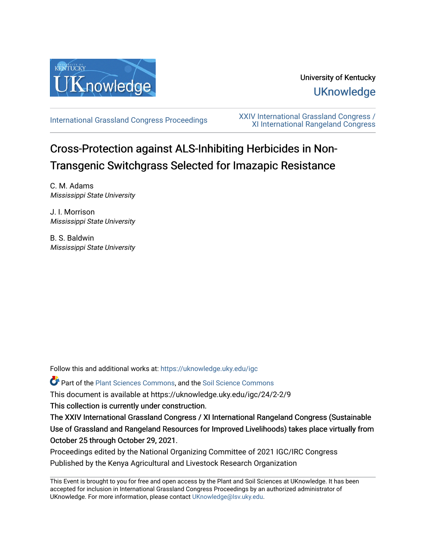

# University of Kentucky **UKnowledge**

[International Grassland Congress Proceedings](https://uknowledge.uky.edu/igc) [XXIV International Grassland Congress /](https://uknowledge.uky.edu/igc/24)  [XI International Rangeland Congress](https://uknowledge.uky.edu/igc/24) 

# Cross-Protection against ALS-Inhibiting Herbicides in Non-Transgenic Switchgrass Selected for Imazapic Resistance

C. M. Adams Mississippi State University

J. I. Morrison Mississippi State University

B. S. Baldwin Mississippi State University

Follow this and additional works at: [https://uknowledge.uky.edu/igc](https://uknowledge.uky.edu/igc?utm_source=uknowledge.uky.edu%2Figc%2F24%2F2-2%2F9&utm_medium=PDF&utm_campaign=PDFCoverPages) 

Part of the [Plant Sciences Commons](http://network.bepress.com/hgg/discipline/102?utm_source=uknowledge.uky.edu%2Figc%2F24%2F2-2%2F9&utm_medium=PDF&utm_campaign=PDFCoverPages), and the [Soil Science Commons](http://network.bepress.com/hgg/discipline/163?utm_source=uknowledge.uky.edu%2Figc%2F24%2F2-2%2F9&utm_medium=PDF&utm_campaign=PDFCoverPages) 

This document is available at https://uknowledge.uky.edu/igc/24/2-2/9

This collection is currently under construction.

The XXIV International Grassland Congress / XI International Rangeland Congress (Sustainable Use of Grassland and Rangeland Resources for Improved Livelihoods) takes place virtually from October 25 through October 29, 2021.

Proceedings edited by the National Organizing Committee of 2021 IGC/IRC Congress Published by the Kenya Agricultural and Livestock Research Organization

This Event is brought to you for free and open access by the Plant and Soil Sciences at UKnowledge. It has been accepted for inclusion in International Grassland Congress Proceedings by an authorized administrator of UKnowledge. For more information, please contact [UKnowledge@lsv.uky.edu](mailto:UKnowledge@lsv.uky.edu).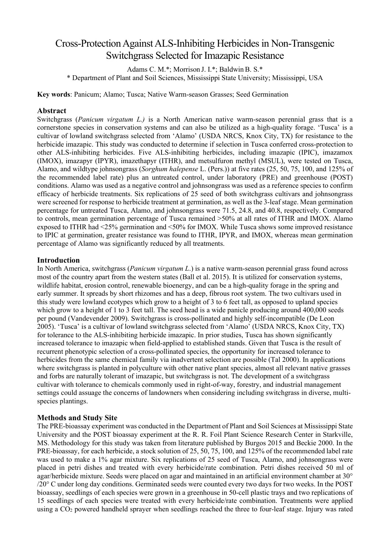# Cross-Protection Against ALS-Inhibiting Herbicides in Non-Transgenic Switchgrass Selected for Imazapic Resistance

Adams C. M.\*; Morrison J. I.\*; Baldwin B. S.\* \* Department of Plant and Soil Sciences, Mississippi State University; Mississippi, USA

**Key words**: Panicum; Alamo; Tusca; Native Warm-season Grasses; Seed Germination

# **Abstract**

Switchgrass (*Panicum virgatum L.)* is a North American native warm-season perennial grass that is a cornerstone species in conservation systems and can also be utilized as a high-quality forage. 'Tusca' is a cultivar of lowland switchgrass selected from 'Alamo' (USDA NRCS, Knox City, TX) for resistance to the herbicide imazapic. This study was conducted to determine if selection in Tusca conferred cross-protection to other ALS-inhibiting herbicides. Five ALS-inhibiting herbicides, including imazapic (IPIC), imazamox (IMOX), imazapyr (IPYR), imazethapyr (ITHR), and metsulfuron methyl (MSUL), were tested on Tusca, Alamo, and wildtype johnsongrass (*Sorghum halepense* L. (Pers.)) at five rates (25, 50, 75, 100, and 125% of the recommended label rate) plus an untreated control, under laboratory (PRE) and greenhouse (POST) conditions. Alamo was used as a negative control and johnsongrass was used as a reference species to confirm efficacy of herbicide treatments. Six replications of 25 seed of both switchgrass cultivars and johnsongrass were screened for response to herbicide treatment at germination, as well as the 3-leaf stage. Mean germination percentage for untreated Tusca, Alamo, and johnsongrass were 71.5, 24.8, and 40.8, respectively. Compared to controls, mean germination percentage of Tusca remained >50% at all rates of ITHR and IMOX. Alamo exposed to ITHR had <25% germination and <50% for IMOX. While Tusca shows some improved resistance to IPIC at germination, greater resistance was found to ITHR, IPYR, and IMOX, whereas mean germination percentage of Alamo was significantly reduced by all treatments.

## **Introduction**

In North America, switchgrass (*Panicum virgatum L*.) is a native warm-season perennial grass found across most of the country apart from the western states (Ball et al. 2015). It is utilized for conservation systems, wildlife habitat, erosion control, renewable bioenergy, and can be a high-quality forage in the spring and early summer. It spreads by short rhizomes and has a deep, fibrous root system. The two cultivars used in this study were lowland ecotypes which grow to a height of 3 to 6 feet tall, as opposed to upland species which grow to a height of 1 to 3 feet tall. The seed head is a wide panicle producing around 400,000 seeds per pound (Vandevender 2009). Switchgrass is cross-pollinated and highly self-incompatible (De Leon 2005). 'Tusca' is a cultivar of lowland switchgrass selected from 'Alamo' (USDA NRCS, Knox City, TX) for tolerance to the ALS-inhibiting herbicide imazapic. In prior studies, Tusca has shown significantly increased tolerance to imazapic when field-applied to established stands. Given that Tusca is the result of recurrent phenotypic selection of a cross-pollinated species, the opportunity for increased tolerance to herbicides from the same chemical family via inadvertent selection are possible (Tal 2000). In applications where switchgrass is planted in polyculture with other native plant species, almost all relevant native grasses and forbs are naturally tolerant of imazapic, but switchgrass is not. The development of a switchgrass cultivar with tolerance to chemicals commonly used in right-of-way, forestry, and industrial management settings could assuage the concerns of landowners when considering including switchgrass in diverse, multispecies plantings.

#### **Methods and Study Site**

The PRE-bioassay experiment was conducted in the Department of Plant and Soil Sciences at Mississippi State University and the POST bioassay experiment at the R. R. Foil Plant Science Research Center in Starkville, MS. Methodology for this study was taken from literature published by Burgos 2015 and Beckie 2000. In the PRE-bioassay, for each herbicide, a stock solution of 25, 50, 75, 100, and 125% of the recommended label rate was used to make a 1% agar mixture. Six replications of 25 seed of Tusca, Alamo, and johnsongrass were placed in petri dishes and treated with every herbicide/rate combination. Petri dishes received 50 ml of agar/herbicide mixture. Seeds were placed on agar and maintained in an artificial environment chamber at 30° /20° C under long day conditions. Germinated seeds were counted every two days for two weeks. In the POST bioassay, seedlings of each species were grown in a greenhouse in 50-cell plastic trays and two replications of 15 seedlings of each species were treated with every herbicide/rate combination. Treatments were applied using a CO2 powered handheld sprayer when seedlings reached the three to four-leaf stage. Injury was rated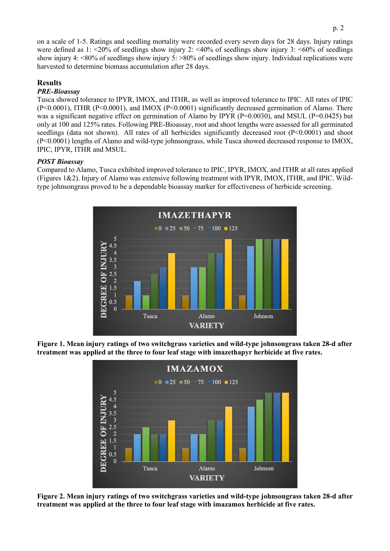on a scale of 1-5. Ratings and seedling mortality were recorded every seven days for 28 days. Injury ratings were defined as 1:  $\leq$ 20% of seedlings show injury 2:  $\leq$ 40% of seedlings show injury 3:  $\leq$ 60% of seedlings show injury 4: <80% of seedlings show injury 5: >80% of seedlings show injury. Individual replications were harvested to determine biomass accumulation after 28 days.

# **Results**

## *PRE-Bioassay*

Tusca showed tolerance to IPYR, IMOX, and ITHR, as well as improved tolerance to IPIC. All rates of IPIC (P<0.0001), ITHR (P<0.0001), and IMOX (P<0.0001) significantly decreased germination of Alamo. There was a significant negative effect on germination of Alamo by IPYR (P=0.0030), and MSUL (P=0.0425) but only at 100 and 125% rates. Following PRE-Bioassay, root and shoot lengths were assessed for all germinated seedlings (data not shown). All rates of all herbicides significantly decreased root (P<0.0001) and shoot (P<0.0001) lengths of Alamo and wild-type johnsongrass, while Tusca showed decreased response to IMOX, IPIC, IPYR, ITHR and MSUL.

# *POST Bioassay*

Compared to Alamo, Tusca exhibited improved tolerance to IPIC, IPYR, IMOX, and ITHR at all rates applied (Figures 1&2). Injury of Alamo was extensive following treatment with IPYR, IMOX, ITHR, and IPIC. Wildtype johnsongrass proved to be a dependable bioassay marker for effectiveness of herbicide screening.



**Figure 1. Mean injury ratings of two switchgrass varieties and wild-type johnsongrass taken 28-d after treatment was applied at the three to four leaf stage with imazethapyr herbicide at five rates.**



**Figure 2. Mean injury ratings of two switchgrass varieties and wild-type johnsongrass taken 28-d after treatment was applied at the three to four leaf stage with imazamox herbicide at five rates.**